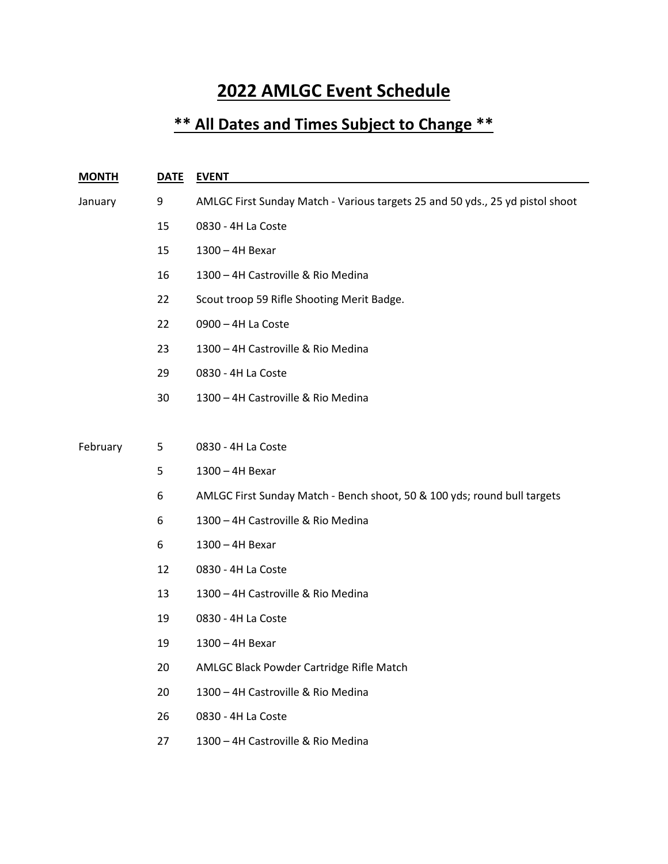## **2022 AMLGC Event Schedule**

## **\*\* All Dates and Times Subject to Change \*\***

| <b>MONTH</b> | <b>DATE</b> | <b>EVENT</b>                                                                  |
|--------------|-------------|-------------------------------------------------------------------------------|
| January      | 9           | AMLGC First Sunday Match - Various targets 25 and 50 yds., 25 yd pistol shoot |
|              | 15          | 0830 - 4H La Coste                                                            |
|              | 15          | 1300 - 4H Bexar                                                               |
|              | 16          | 1300 - 4H Castroville & Rio Medina                                            |
|              | 22          | Scout troop 59 Rifle Shooting Merit Badge.                                    |
|              | 22          | 0900 - 4H La Coste                                                            |
|              | 23          | 1300 - 4H Castroville & Rio Medina                                            |
|              | 29          | 0830 - 4H La Coste                                                            |
|              | 30          | 1300 - 4H Castroville & Rio Medina                                            |
|              |             |                                                                               |
| February     | 5           | 0830 - 4H La Coste                                                            |
|              | 5           | 1300 - 4H Bexar                                                               |
|              | 6           | AMLGC First Sunday Match - Bench shoot, 50 & 100 yds; round bull targets      |
|              | 6           | 1300 - 4H Castroville & Rio Medina                                            |
|              | 6           | 1300 - 4H Bexar                                                               |
|              | 12          | 0830 - 4H La Coste                                                            |
|              | 13          | 1300 - 4H Castroville & Rio Medina                                            |
|              | 19          | 0830 - 4H La Coste                                                            |
|              | 19          | 1300 - 4H Bexar                                                               |
|              | 20          | AMLGC Black Powder Cartridge Rifle Match                                      |
|              | 20          | 1300 - 4H Castroville & Rio Medina                                            |
|              | 26          | 0830 - 4H La Coste                                                            |
|              | 27          | 1300 - 4H Castroville & Rio Medina                                            |
|              |             |                                                                               |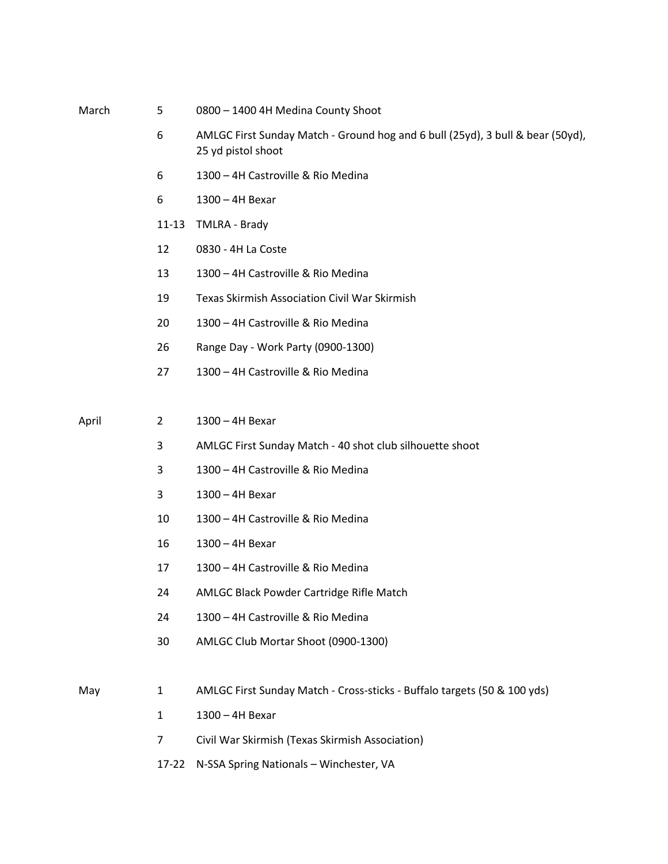| March | 5              | 0800 - 1400 4H Medina County Shoot                                                                   |
|-------|----------------|------------------------------------------------------------------------------------------------------|
|       | 6              | AMLGC First Sunday Match - Ground hog and 6 bull (25yd), 3 bull & bear (50yd),<br>25 yd pistol shoot |
|       | 6              | 1300 - 4H Castroville & Rio Medina                                                                   |
|       | 6              | 1300 - 4H Bexar                                                                                      |
|       | $11 - 13$      | TMLRA - Brady                                                                                        |
|       | 12             | 0830 - 4H La Coste                                                                                   |
|       | 13             | 1300 - 4H Castroville & Rio Medina                                                                   |
|       | 19             | <b>Texas Skirmish Association Civil War Skirmish</b>                                                 |
|       | 20             | 1300 - 4H Castroville & Rio Medina                                                                   |
|       | 26             | Range Day - Work Party (0900-1300)                                                                   |
|       | 27             | 1300 - 4H Castroville & Rio Medina                                                                   |
|       |                |                                                                                                      |
| April | $\overline{2}$ | 1300 - 4H Bexar                                                                                      |
|       | 3              | AMLGC First Sunday Match - 40 shot club silhouette shoot                                             |
|       | 3              | 1300 - 4H Castroville & Rio Medina                                                                   |
|       | 3              | 1300 - 4H Bexar                                                                                      |
|       | 10             | 1300 - 4H Castroville & Rio Medina                                                                   |
|       | 16             | 1300 - 4H Bexar                                                                                      |
|       | 17             | 1300 - 4H Castroville & Rio Medina                                                                   |
|       | 24             | AMLGC Black Powder Cartridge Rifle Match                                                             |
|       | 24             | 1300 - 4H Castroville & Rio Medina                                                                   |
|       | 30             | AMLGC Club Mortar Shoot (0900-1300)                                                                  |
|       |                |                                                                                                      |
| May   | $\mathbf{1}$   | AMLGC First Sunday Match - Cross-sticks - Buffalo targets (50 & 100 yds)                             |
|       | $\mathbf{1}$   | 1300 - 4H Bexar                                                                                      |
|       | 7              | Civil War Skirmish (Texas Skirmish Association)                                                      |
|       |                |                                                                                                      |

17-22 N-SSA Spring Nationals – Winchester, VA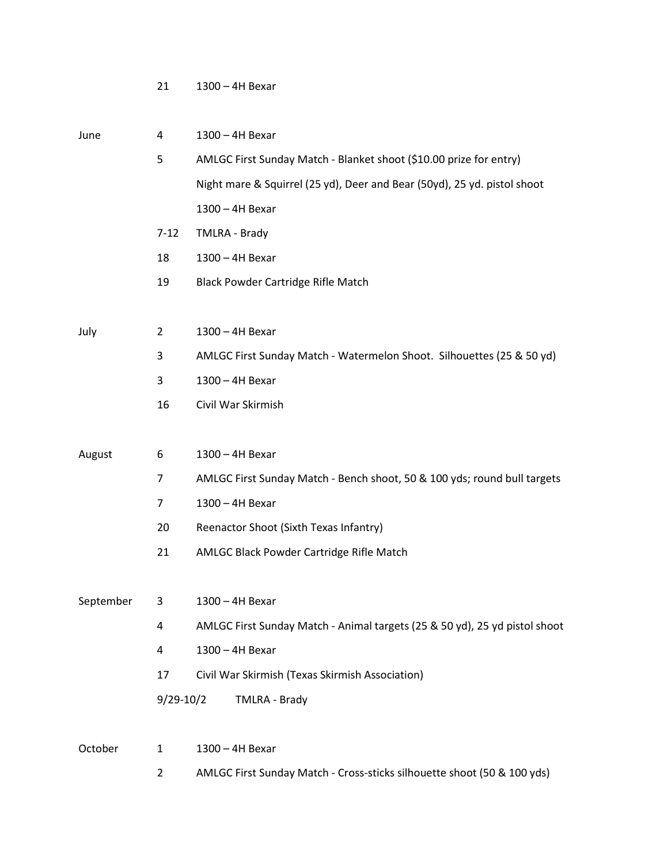1300 – 4H Bexar

| June      | 4              | 1300 - 4H Bexar                                                            |
|-----------|----------------|----------------------------------------------------------------------------|
|           | 5              | AMLGC First Sunday Match - Blanket shoot (\$10.00 prize for entry)         |
|           |                | Night mare & Squirrel (25 yd), Deer and Bear (50yd), 25 yd. pistol shoot   |
|           |                | 1300 - 4H Bexar                                                            |
|           | $7 - 12$       | TMLRA - Brady                                                              |
|           | 18             | 1300 - 4H Bexar                                                            |
|           | 19             | <b>Black Powder Cartridge Rifle Match</b>                                  |
|           |                |                                                                            |
| July      | $\overline{2}$ | 1300 - 4H Bexar                                                            |
|           | 3              | AMLGC First Sunday Match - Watermelon Shoot. Silhouettes (25 & 50 yd)      |
|           | 3              | 1300 - 4H Bexar                                                            |
|           | 16             | Civil War Skirmish                                                         |
|           |                |                                                                            |
| August    | 6              | 1300 - 4H Bexar                                                            |
|           | $\overline{7}$ | AMLGC First Sunday Match - Bench shoot, 50 & 100 yds; round bull targets   |
|           | $\overline{7}$ | 1300 - 4H Bexar                                                            |
|           | 20             | Reenactor Shoot (Sixth Texas Infantry)                                     |
|           | 21             | AMLGC Black Powder Cartridge Rifle Match                                   |
|           |                |                                                                            |
| September | 3              | 1300 - 4H Bexar                                                            |
|           | 4              | AMLGC First Sunday Match - Animal targets (25 & 50 yd), 25 yd pistol shoot |
|           | 4              | 1300 - 4H Bexar                                                            |
|           | 17             | Civil War Skirmish (Texas Skirmish Association)                            |
|           | $9/29-10/2$    | TMLRA - Brady                                                              |
|           |                |                                                                            |
| October   | $\mathbf{1}$   | 1300 - 4H Bexar                                                            |
|           | $\overline{2}$ | AMLGC First Sunday Match - Cross-sticks silhouette shoot (50 & 100 yds)    |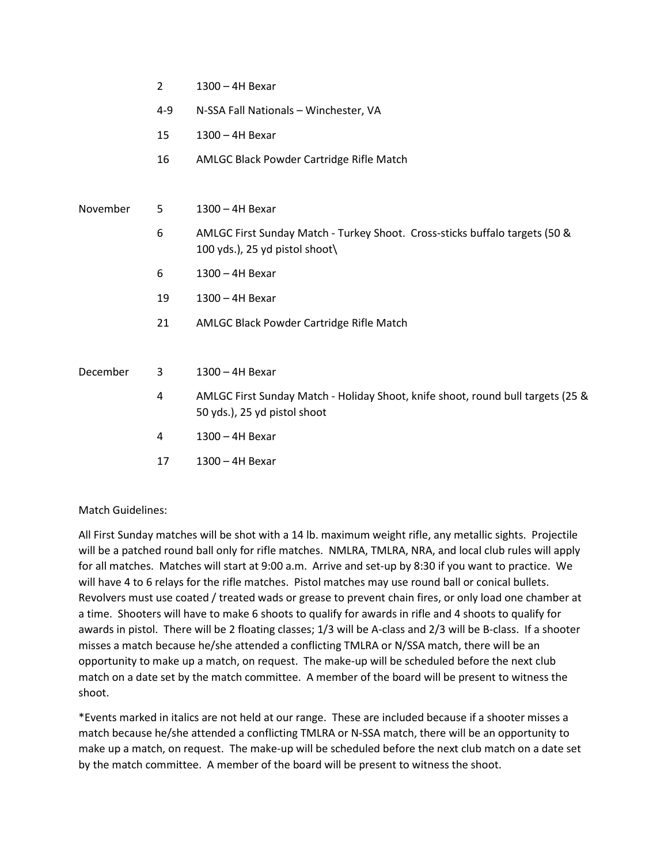- 2 1300 4H Bexar
- 4-9 N-SSA Fall Nationals Winchester, VA
- 15 1300 4H Bexar
- 16 AMLGC Black Powder Cartridge Rifle Match

November 5 1300 – 4H Bexar

- 6 AMLGC First Sunday Match Turkey Shoot. Cross-sticks buffalo targets (50 & 100 yds.), 25 yd pistol shoot $\langle$
- 6 1300 4H Bexar
- 19 1300 4H Bexar
- 21 AMLGC Black Powder Cartridge Rifle Match

December 3 1300 – 4H Bexar

- 4 AMLGC First Sunday Match Holiday Shoot, knife shoot, round bull targets (25 & 50 yds.), 25 yd pistol shoot
- 4 1300 4H Bexar
- 17 1300 4H Bexar

## Match Guidelines:

All First Sunday matches will be shot with a 14 lb. maximum weight rifle, any metallic sights. Projectile will be a patched round ball only for rifle matches. NMLRA, TMLRA, NRA, and local club rules will apply for all matches. Matches will start at 9:00 a.m. Arrive and set-up by 8:30 if you want to practice. We will have 4 to 6 relays for the rifle matches. Pistol matches may use round ball or conical bullets. Revolvers must use coated / treated wads or grease to prevent chain fires, or only load one chamber at a time. Shooters will have to make 6 shoots to qualify for awards in rifle and 4 shoots to qualify for awards in pistol. There will be 2 floating classes; 1/3 will be A-class and 2/3 will be B-class. If a shooter misses a match because he/she attended a conflicting TMLRA or N/SSA match, there will be an opportunity to make up a match, on request. The make-up will be scheduled before the next club match on a date set by the match committee. A member of the board will be present to witness the shoot.

\*Events marked in italics are not held at our range. These are included because if a shooter misses a match because he/she attended a conflicting TMLRA or N-SSA match, there will be an opportunity to make up a match, on request. The make-up will be scheduled before the next club match on a date set by the match committee. A member of the board will be present to witness the shoot.